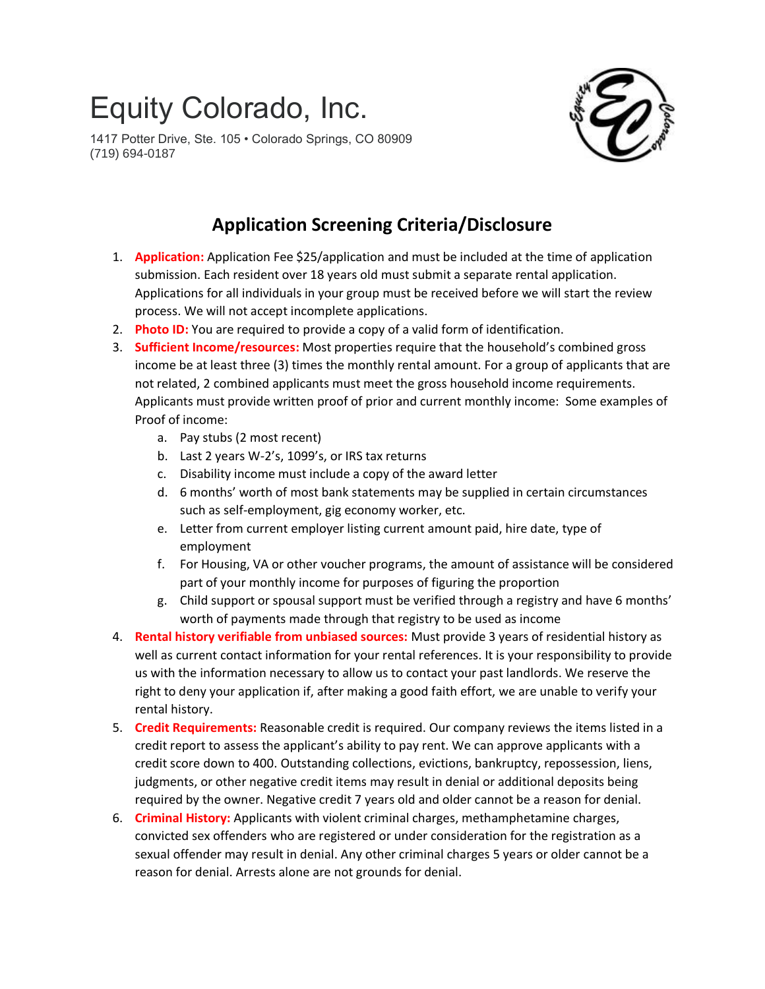## Equity Colorado, Inc.

1417 Potter Drive, Ste. 105 • Colorado Springs, CO 80909 (719) 694-0187



## **Application Screening Criteria/Disclosure**

- 1. **Application:** Application Fee \$25/application and must be included at the time of application submission. Each resident over 18 years old must submit a separate rental application. Applications for all individuals in your group must be received before we will start the review process. We will not accept incomplete applications.
- 2. **Photo ID:** You are required to provide a copy of a valid form of identification.
- 3. **Sufficient Income/resources:** Most properties require that the household's combined gross income be at least three (3) times the monthly rental amount. For a group of applicants that are not related, 2 combined applicants must meet the gross household income requirements. Applicants must provide written proof of prior and current monthly income: Some examples of Proof of income:
	- a. Pay stubs (2 most recent)
	- b. Last 2 years W-2's, 1099's, or IRS tax returns
	- c. Disability income must include a copy of the award letter
	- d. 6 months' worth of most bank statements may be supplied in certain circumstances such as self-employment, gig economy worker, etc.
	- e. Letter from current employer listing current amount paid, hire date, type of employment
	- f. For Housing, VA or other voucher programs, the amount of assistance will be considered part of your monthly income for purposes of figuring the proportion
	- g. Child support or spousal support must be verified through a registry and have 6 months' worth of payments made through that registry to be used as income
- 4. **Rental history verifiable from unbiased sources:** Must provide 3 years of residential history as well as current contact information for your rental references. It is your responsibility to provide us with the information necessary to allow us to contact your past landlords. We reserve the right to deny your application if, after making a good faith effort, we are unable to verify your rental history.
- 5. **Credit Requirements:** Reasonable credit is required. Our company reviews the items listed in a credit report to assess the applicant's ability to pay rent. We can approve applicants with a credit score down to 400. Outstanding collections, evictions, bankruptcy, repossession, liens, judgments, or other negative credit items may result in denial or additional deposits being required by the owner. Negative credit 7 years old and older cannot be a reason for denial.
- 6. **Criminal History:** Applicants with violent criminal charges, methamphetamine charges, convicted sex offenders who are registered or under consideration for the registration as a sexual offender may result in denial. Any other criminal charges 5 years or older cannot be a reason for denial. Arrests alone are not grounds for denial.